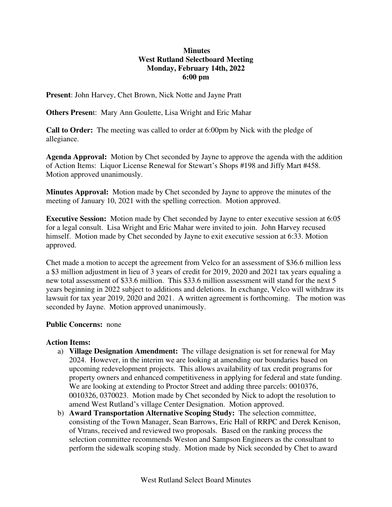## **Minutes West Rutland Selectboard Meeting Monday, February 14th, 2022 6:00 pm**

**Present**: John Harvey, Chet Brown, Nick Notte and Jayne Pratt

**Others Presen**t: Mary Ann Goulette, Lisa Wright and Eric Mahar

**Call to Order:** The meeting was called to order at 6:00pm by Nick with the pledge of allegiance.

**Agenda Approval:** Motion by Chet seconded by Jayne to approve the agenda with the addition of Action Items: Liquor License Renewal for Stewart's Shops #198 and Jiffy Mart #458. Motion approved unanimously.

**Minutes Approval:** Motion made by Chet seconded by Jayne to approve the minutes of the meeting of January 10, 2021 with the spelling correction. Motion approved.

**Executive Session:** Motion made by Chet seconded by Jayne to enter executive session at 6:05 for a legal consult. Lisa Wright and Eric Mahar were invited to join. John Harvey recused himself. Motion made by Chet seconded by Jayne to exit executive session at 6:33. Motion approved.

Chet made a motion to accept the agreement from Velco for an assessment of \$36.6 million less a \$3 million adjustment in lieu of 3 years of credit for 2019, 2020 and 2021 tax years equaling a new total assessment of \$33.6 million. This \$33.6 million assessment will stand for the next 5 years beginning in 2022 subject to additions and deletions. In exchange, Velco will withdraw its lawsuit for tax year 2019, 2020 and 2021. A written agreement is forthcoming. The motion was seconded by Jayne. Motion approved unanimously.

## **Public Concerns:** none

## **Action Items:**

- a) **Village Designation Amendment:** The village designation is set for renewal for May 2024. However, in the interim we are looking at amending our boundaries based on upcoming redevelopment projects. This allows availability of tax credit programs for property owners and enhanced competitiveness in applying for federal and state funding. We are looking at extending to Proctor Street and adding three parcels: 0010376, 0010326, 0370023. Motion made by Chet seconded by Nick to adopt the resolution to amend West Rutland's village Center Designation. Motion approved.
- b) **Award Transportation Alternative Scoping Study:** The selection committee, consisting of the Town Manager, Sean Barrows, Eric Hall of RRPC and Derek Kenison, of Vtrans, received and reviewed two proposals. Based on the ranking process the selection committee recommends Weston and Sampson Engineers as the consultant to perform the sidewalk scoping study. Motion made by Nick seconded by Chet to award